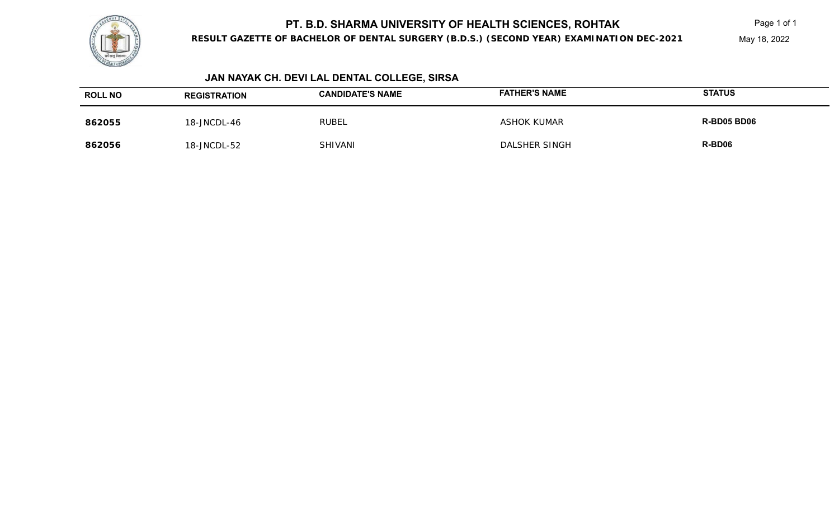

**RESULT GAZETTE OF BACHELOR OF DENTAL SURGERY (B.D.S.) (SECOND YEAR) EXAMINATION DEC-2021**

May 18, 2022

# **JAN NAYAK CH. DEVI LAL DENTAL COLLEGE, SIRSA**

| <b>ROLL NO</b> | <b>REGISTRATION</b> | <b>CANDIDATE'S NAME</b> | <b>FATHER'S NAME</b> | <b>STATUS</b> |
|----------------|---------------------|-------------------------|----------------------|---------------|
| 862055         | 18-JNCDL-46         | RUBEL                   | <b>ASHOK KUMAR</b>   | R-BD05 BD06   |
| 862056         | 18-JNCDL-52         | SHIVANI                 | DALSHER SINGH        | R-BD06        |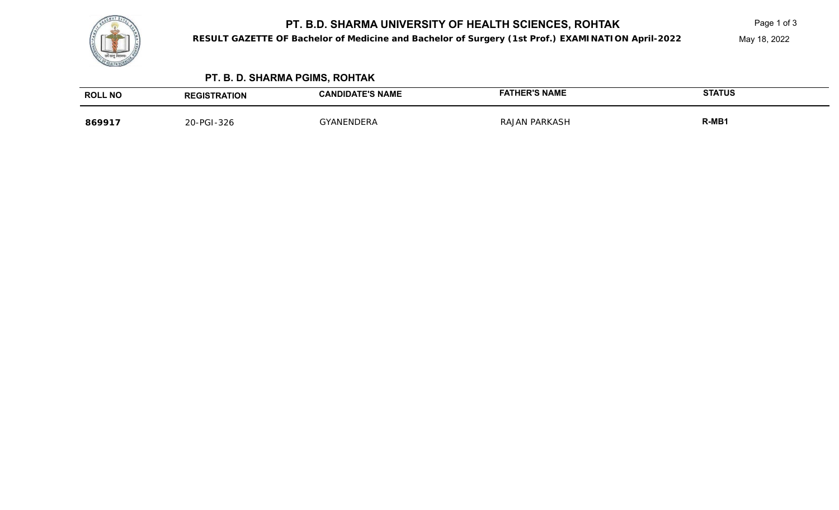

**RESULT GAZETTE OF Bachelor of Medicine and Bachelor of Surgery (1st Prof.) EXAMINATION April-2022**

# **PT. B. D. SHARMA PGIMS, ROHTAK**

| <b>ROLL NO</b> | <b>EGISTRATION</b><br>REGIS <sup>.</sup> | <b>CANDIDATE'S NAME</b> | ER'S NAME       | <b>STATUS</b> |
|----------------|------------------------------------------|-------------------------|-----------------|---------------|
| 869917         | 20-PGI-326                               | <b>GVANENDER</b>        | PARKASH<br>RA I | $R-MB1$       |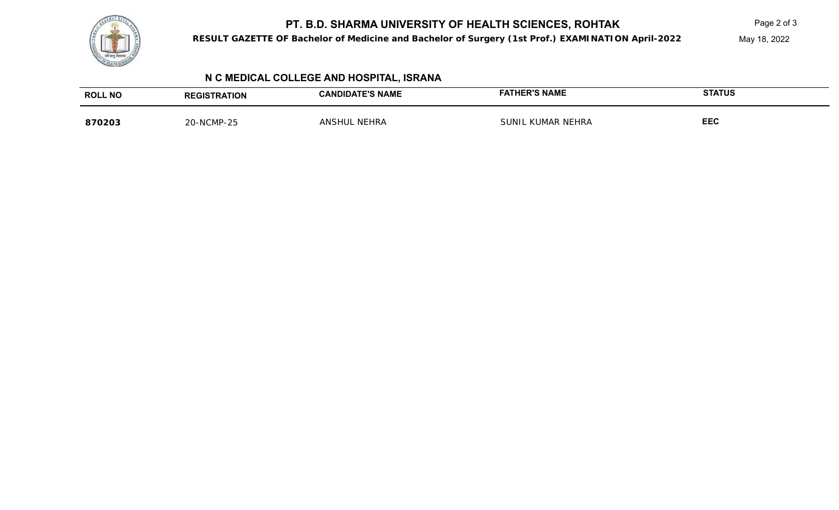

**RESULT GAZETTE OF Bachelor of Medicine and Bachelor of Surgery (1st Prof.) EXAMINATION April-2022**

May 18, 2022

## **N C MEDICAL COLLEGE AND HOSPITAL, ISRANA**

| <b>ROLL NO</b> | <b>RATION</b> | <b>E'S NAME</b><br>Aחוס<br>`AN. | <b>NAME</b><br>סים:           | <b>STATUS</b> |
|----------------|---------------|---------------------------------|-------------------------------|---------------|
| 870203         | 20-NCMP-25    | HRA<br>ANS'                     | <sub>\</sub> R NEHRA<br>LINIT | <b>EEC</b>    |